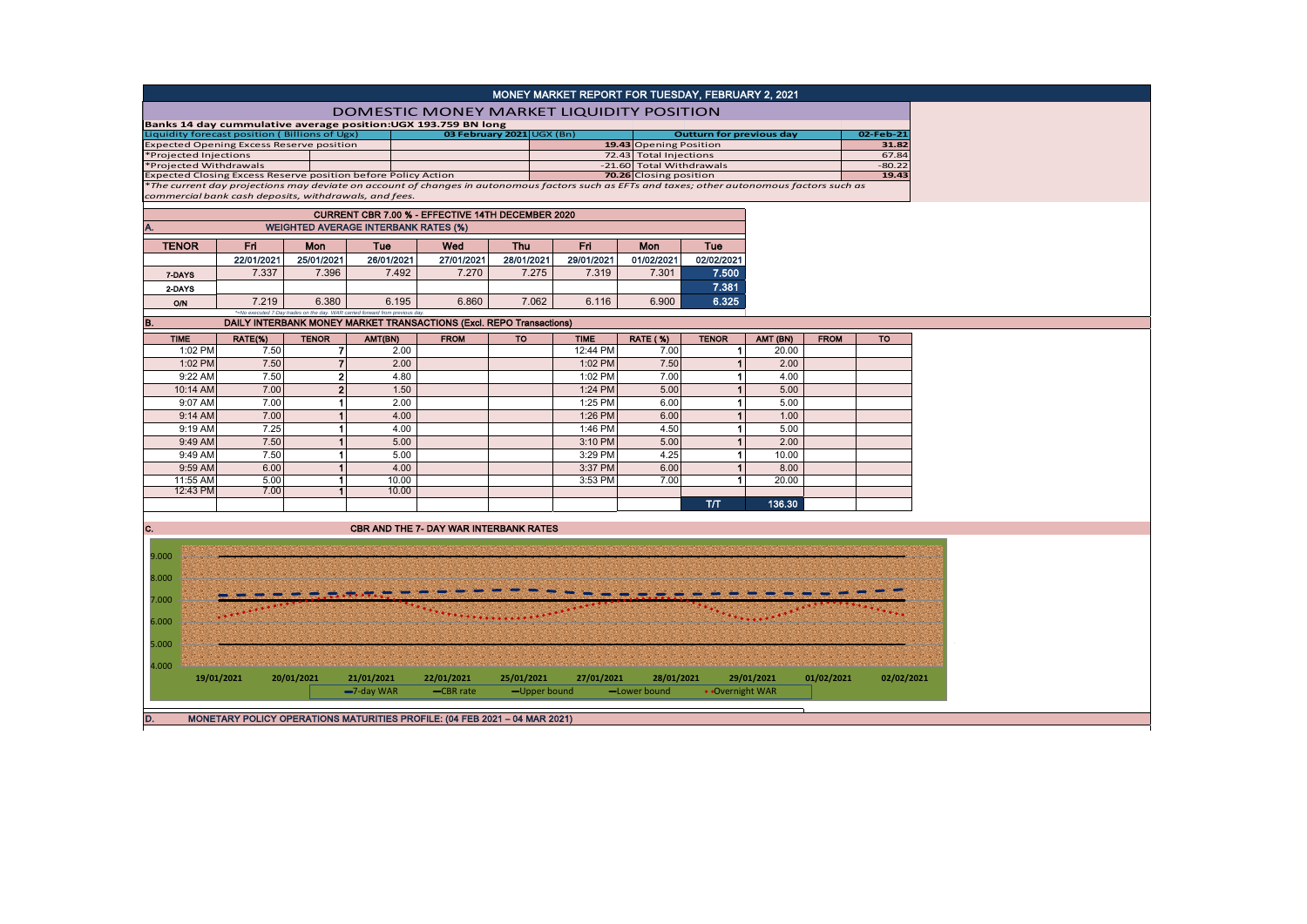|                                                               |              |                                      |                                                                              |                                                                                            |            | MONEY MARKET REPORT FOR TUESDAY, FEBRUARY 2, 2021                                                                                             |                            |                                 |            |             |            |
|---------------------------------------------------------------|--------------|--------------------------------------|------------------------------------------------------------------------------|--------------------------------------------------------------------------------------------|------------|-----------------------------------------------------------------------------------------------------------------------------------------------|----------------------------|---------------------------------|------------|-------------|------------|
|                                                               |              |                                      |                                                                              |                                                                                            |            | <b>DOMESTIC MONEY MARKET LIQUIDITY POSITION</b>                                                                                               |                            |                                 |            |             |            |
| Liquidity forecast position (Billions of Ugx)                 |              |                                      |                                                                              | Banks 14 day cummulative average position:UGX 193.759 BN long<br>03 February 2021 UGX (Bn) |            |                                                                                                                                               |                            | <b>Outturn for previous day</b> |            |             | 02-Feb-21  |
| <b>Expected Opening Excess Reserve position</b>               |              |                                      |                                                                              |                                                                                            |            |                                                                                                                                               | 19.43 Opening Position     |                                 |            |             | 31.82      |
| *Projected Injections                                         |              |                                      |                                                                              |                                                                                            |            |                                                                                                                                               | 72.43 Total Injections     |                                 |            |             | 67.84      |
| *Projected Withdrawals                                        |              |                                      |                                                                              |                                                                                            |            |                                                                                                                                               | -21.60 Total Withdrawals   |                                 |            |             | $-80.22$   |
| Expected Closing Excess Reserve position before Policy Action |              |                                      |                                                                              |                                                                                            |            |                                                                                                                                               | 70.26 Closing position     |                                 |            |             | 19.43      |
|                                                               |              |                                      |                                                                              |                                                                                            |            | *The current day projections may deviate on account of changes in autonomous factors such as EFTs and taxes; other autonomous factors such as |                            |                                 |            |             |            |
| commercial bank cash deposits, withdrawals, and fees.         |              |                                      |                                                                              |                                                                                            |            |                                                                                                                                               |                            |                                 |            |             |            |
|                                                               |              |                                      |                                                                              | CURRENT CBR 7.00 % - EFFECTIVE 14TH DECEMBER 2020                                          |            |                                                                                                                                               |                            |                                 |            |             |            |
|                                                               |              |                                      | <b>WEIGHTED AVERAGE INTERBANK RATES (%)</b>                                  |                                                                                            |            |                                                                                                                                               |                            |                                 |            |             |            |
| <b>TENOR</b>                                                  | Fri          | Mon                                  | Tue                                                                          | Wed                                                                                        | <b>Thu</b> | Fri                                                                                                                                           | Mon                        | Tue                             |            |             |            |
|                                                               | 22/01/2021   | 25/01/2021                           | 26/01/2021                                                                   | 27/01/2021                                                                                 | 28/01/2021 | 29/01/2021                                                                                                                                    | 01/02/2021                 | 02/02/2021                      |            |             |            |
| 7-DAYS                                                        | 7.337        | 7.396                                | 7.492                                                                        | 7.270                                                                                      | 7.275      | 7.319                                                                                                                                         | 7.301                      | 7.500                           |            |             |            |
| 2-DAYS                                                        |              |                                      |                                                                              |                                                                                            |            |                                                                                                                                               |                            | 7.381                           |            |             |            |
| <b>O/N</b>                                                    | 7.219        | 6.380                                | 6.195                                                                        | 6.860                                                                                      | 7.062      | 6.116                                                                                                                                         | 6.900                      | 6.325                           |            |             |            |
| В.                                                            |              |                                      | *=No executed 7-Day trades on the day. WAR carried forward from previous day | DAILY INTERBANK MONEY MARKET TRANSACTIONS (Excl. REPO Transactions)                        |            |                                                                                                                                               |                            |                                 |            |             |            |
| <b>TIME</b>                                                   | RATE(%)      | <b>TENOR</b>                         | AMT(BN)                                                                      | <b>FROM</b>                                                                                | <b>TO</b>  | <b>TIME</b>                                                                                                                                   | <b>RATE (%)</b>            | <b>TENOR</b>                    | AMT (BN)   | <b>FROM</b> | <b>TO</b>  |
| 1:02 PM                                                       | 7.50         | $\overline{7}$                       | 2.00                                                                         |                                                                                            |            | 12:44 PM                                                                                                                                      | 7.00                       | 1                               | 20.00      |             |            |
| 1:02 PM                                                       | 7.50         | $\overline{7}$                       | 2.00                                                                         |                                                                                            |            | 1:02 PM                                                                                                                                       | 7.50                       | $\mathbf{1}$                    | 2.00       |             |            |
| 9:22 AM                                                       | 7.50         | $\mathbf{2}$                         | 4.80                                                                         |                                                                                            |            | 1:02 PM                                                                                                                                       | 7.00                       | 1                               | 4.00       |             |            |
| 10:14 AM                                                      | 7.00         | $\overline{2}$                       | 1.50                                                                         |                                                                                            |            | 1:24 PM                                                                                                                                       | 5.00                       | $\overline{1}$                  | 5.00       |             |            |
| 9:07 AM                                                       | 7.00         | $\mathbf{1}$                         | 2.00                                                                         |                                                                                            |            | 1:25 PM                                                                                                                                       | 6.00                       | 1                               | 5.00       |             |            |
| 9:14 AM                                                       | 7.00         | $\overline{1}$                       | 4.00                                                                         |                                                                                            |            | 1:26 PM                                                                                                                                       | 6.00                       | $\overline{1}$                  | 1.00       |             |            |
| 9:19 AM                                                       | 7.25         | $\mathbf{1}$                         | 4.00                                                                         |                                                                                            |            | 1:46 PM                                                                                                                                       | 4.50                       | 1                               | 5.00       |             |            |
| 9:49 AM                                                       | 7.50         | $\blacktriangleleft$                 | 5.00                                                                         |                                                                                            |            | 3:10 PM                                                                                                                                       | 5.00                       | $\overline{1}$                  | 2.00       |             |            |
|                                                               |              |                                      |                                                                              |                                                                                            |            |                                                                                                                                               |                            |                                 |            |             |            |
| 9:49 AM                                                       | 7.50         | $\mathbf{1}$                         | 5.00                                                                         |                                                                                            |            | 3:29 PM                                                                                                                                       | 4.25                       | 1                               | 10.00      |             |            |
| 9:59 AM                                                       | 6.00         | $\overline{1}$                       | 4.00                                                                         |                                                                                            |            | 3:37 PM                                                                                                                                       | 6.00                       | $\blacktriangleleft$            | 8.00       |             |            |
| 11:55 AM<br>12:43 PM                                          | 5.00<br>7.00 | $\mathbf{1}$<br>$\blacktriangleleft$ | 10.00<br>10.00                                                               |                                                                                            |            | 3:53 PM                                                                                                                                       | 7.00                       | $\mathbf{1}$                    | 20.00      |             |            |
|                                                               |              |                                      |                                                                              |                                                                                            |            |                                                                                                                                               |                            | T/T                             | 136.30     |             |            |
|                                                               |              |                                      |                                                                              |                                                                                            |            |                                                                                                                                               |                            |                                 |            |             |            |
| c.                                                            |              |                                      |                                                                              | <b>CBR AND THE 7- DAY WAR INTERBANK RATES</b>                                              |            |                                                                                                                                               |                            |                                 |            |             |            |
| 9.000                                                         |              |                                      |                                                                              |                                                                                            |            |                                                                                                                                               |                            |                                 |            |             |            |
|                                                               |              |                                      |                                                                              |                                                                                            |            |                                                                                                                                               |                            |                                 |            |             |            |
| 8.000                                                         |              |                                      |                                                                              |                                                                                            |            |                                                                                                                                               |                            |                                 |            |             |            |
| 7.000                                                         |              |                                      |                                                                              |                                                                                            |            |                                                                                                                                               |                            |                                 |            |             |            |
| 6.000                                                         |              |                                      |                                                                              |                                                                                            |            |                                                                                                                                               |                            |                                 |            |             |            |
|                                                               |              |                                      |                                                                              |                                                                                            |            |                                                                                                                                               |                            |                                 |            |             |            |
| 5.000                                                         |              |                                      |                                                                              |                                                                                            |            |                                                                                                                                               |                            |                                 |            |             |            |
| 4.000                                                         |              |                                      |                                                                              |                                                                                            |            |                                                                                                                                               |                            |                                 |            |             |            |
|                                                               | 19/01/2021   | 20/01/2021                           | 21/01/2021                                                                   | 22/01/2021<br>-CBR rate                                                                    | 25/01/2021 | 27/01/2021                                                                                                                                    | 28/01/2021<br>-Lower bound |                                 | 29/01/2021 | 01/02/2021  | 02/02/2021 |
|                                                               |              |                                      | $-7$ -day WAR                                                                |                                                                                            |            | -Upper bound                                                                                                                                  |                            | • Overnight WAR                 |            |             |            |
| D.                                                            |              |                                      |                                                                              | MONETARY POLICY OPERATIONS MATURITIES PROFILE: (04 FEB 2021 - 04 MAR 2021)                 |            |                                                                                                                                               |                            |                                 |            |             |            |
|                                                               |              |                                      |                                                                              |                                                                                            |            |                                                                                                                                               |                            |                                 |            |             |            |